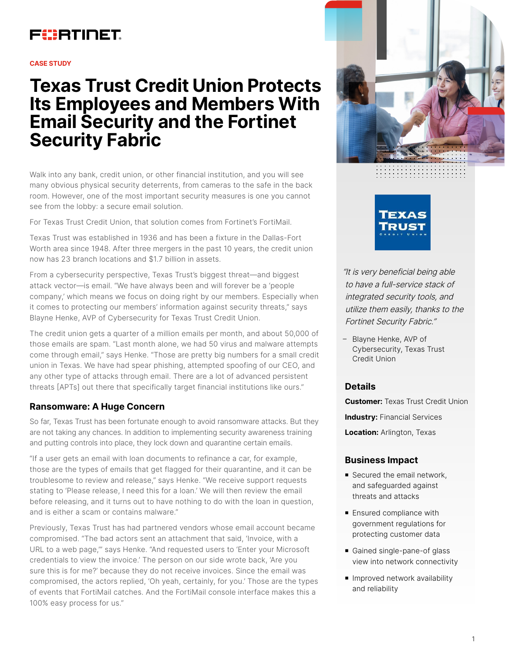

#### **CASE STUDY**

# **Texas Trust Credit Union Protects Its Employees and Members With Email Security and the Fortinet Security Fabric**

Walk into any bank, credit union, or other financial institution, and you will see many obvious physical security deterrents, from cameras to the safe in the back room. However, one of the most important security measures is one you cannot see from the lobby: a secure email solution.

For Texas Trust Credit Union, that solution comes from Fortinet's FortiMail.

Texas Trust was established in 1936 and has been a fixture in the Dallas-Fort Worth area since 1948. After three mergers in the past 10 years, the credit union now has 23 branch locations and \$1.7 billion in assets.

From a cybersecurity perspective, Texas Trust's biggest threat—and biggest attack vector—is email. "We have always been and will forever be a 'people company,' which means we focus on doing right by our members. Especially when it comes to protecting our members' information against security threats," says Blayne Henke, AVP of Cybersecurity for Texas Trust Credit Union.

The credit union gets a quarter of a million emails per month, and about 50,000 of those emails are spam. "Last month alone, we had 50 virus and malware attempts come through email," says Henke. "Those are pretty big numbers for a small credit union in Texas. We have had spear phishing, attempted spoofing of our CEO, and any other type of attacks through email. There are a lot of advanced persistent threats [APTs] out there that specifically target financial institutions like ours."

# **Ransomware: A Huge Concern**

So far, Texas Trust has been fortunate enough to avoid ransomware attacks. But they are not taking any chances. In addition to implementing security awareness training and putting controls into place, they lock down and quarantine certain emails.

"If a user gets an email with loan documents to refinance a car, for example, those are the types of emails that get flagged for their quarantine, and it can be troublesome to review and release," says Henke. "We receive support requests stating to 'Please release, I need this for a loan.' We will then review the email before releasing, and it turns out to have nothing to do with the loan in question, and is either a scam or contains malware."

Previously, Texas Trust has had partnered vendors whose email account became compromised. "The bad actors sent an attachment that said, 'Invoice, with a URL to a web page,'" says Henke. "And requested users to 'Enter your Microsoft credentials to view the invoice.' The person on our side wrote back, 'Are you sure this is for me?' because they do not receive invoices. Since the email was compromised, the actors replied, 'Oh yeah, certainly, for you.' Those are the types of events that FortiMail catches. And the FortiMail console interface makes this a 100% easy process for us."





"It is very beneficial being able to have a full-service stack of integrated security tools, and utilize them easily, thanks to the Fortinet Security Fabric."

– Blayne Henke, AVP of Cybersecurity, Texas Trust Credit Union

## **Details**

**Customer:** Texas Trust Credit Union

**Industry:** Financial Services

**Location:** Arlington, Texas

## **Business Impact**

- Secured the email network, and safeguarded against threats and attacks
- **Ensured compliance with** government regulations for protecting customer data
- Gained single-pane-of glass view into network connectivity
- **n** Improved network availability and reliability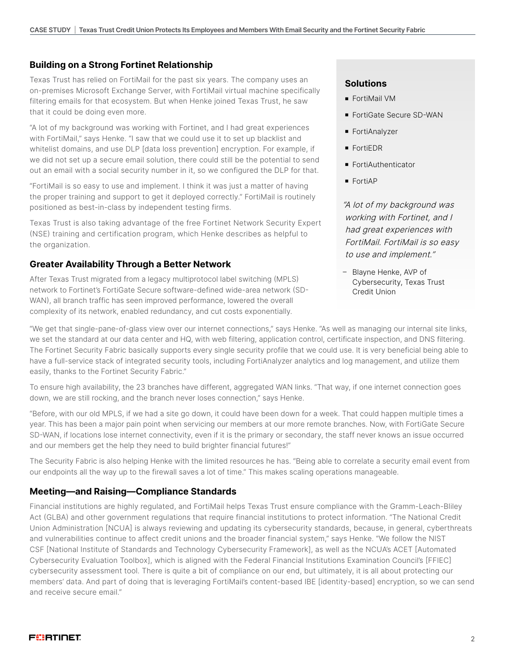# **Building on a Strong Fortinet Relationship**

Texas Trust has relied on FortiMail for the past six years. The company uses an on-premises Microsoft Exchange Server, with FortiMail virtual machine specifically filtering emails for that ecosystem. But when Henke joined Texas Trust, he saw that it could be doing even more.

"A lot of my background was working with Fortinet, and I had great experiences with FortiMail," says Henke. "I saw that we could use it to set up blacklist and whitelist domains, and use DLP [data loss prevention] encryption. For example, if we did not set up a secure email solution, there could still be the potential to send out an email with a social security number in it, so we configured the DLP for that.

"FortiMail is so easy to use and implement. I think it was just a matter of having the proper training and support to get it deployed correctly." FortiMail is routinely positioned as best-in-class by independent testing firms.

Texas Trust is also taking advantage of the free Fortinet Network Security Expert (NSE) training and certification program, which Henke describes as helpful to the organization.

## **Greater Availability Through a Better Network**

After Texas Trust migrated from a legacy multiprotocol label switching (MPLS) network to Fortinet's FortiGate Secure software-defined wide-area network (SD-WAN), all branch traffic has seen improved performance, lowered the overall complexity of its network, enabled redundancy, and cut costs exponentially.

#### **Solutions**

- **FortiMail VM**
- FortiGate Secure SD-WAN
- FortiAnalyzer
- **FortiEDR**
- FortiAuthenticator
- **FortiAP**

"A lot of my background was working with Fortinet, and I had great experiences with FortiMail. FortiMail is so easy to use and implement."

– Blayne Henke, AVP of Cybersecurity, Texas Trust Credit Union

"We get that single-pane-of-glass view over our internet connections," says Henke. "As well as managing our internal site links, we set the standard at our data center and HQ, with web filtering, application control, certificate inspection, and DNS filtering. The Fortinet Security Fabric basically supports every single security profile that we could use. It is very beneficial being able to have a full-service stack of integrated security tools, including FortiAnalyzer analytics and log management, and utilize them easily, thanks to the Fortinet Security Fabric."

To ensure high availability, the 23 branches have different, aggregated WAN links. "That way, if one internet connection goes down, we are still rocking, and the branch never loses connection," says Henke.

"Before, with our old MPLS, if we had a site go down, it could have been down for a week. That could happen multiple times a year. This has been a major pain point when servicing our members at our more remote branches. Now, with FortiGate Secure SD-WAN, if locations lose internet connectivity, even if it is the primary or secondary, the staff never knows an issue occurred and our members get the help they need to build brighter financial futures!"

The Security Fabric is also helping Henke with the limited resources he has. "Being able to correlate a security email event from our endpoints all the way up to the firewall saves a lot of time." This makes scaling operations manageable.

## **Meeting—and Raising—Compliance Standards**

Financial institutions are highly regulated, and FortiMail helps Texas Trust ensure compliance with the Gramm-Leach-Bliley Act (GLBA) and other government regulations that require financial institutions to protect information. "The National Credit Union Administration [NCUA] is always reviewing and updating its cybersecurity standards, because, in general, cyberthreats and vulnerabilities continue to affect credit unions and the broader financial system," says Henke. "We follow the NIST CSF [National Institute of Standards and Technology Cybersecurity Framework], as well as the NCUA's ACET [Automated Cybersecurity Evaluation Toolbox], which is aligned with the Federal Financial Institutions Examination Council's [FFIEC] cybersecurity assessment tool. There is quite a bit of compliance on our end, but ultimately, it is all about protecting our members' data. And part of doing that is leveraging FortiMail's content-based IBE [identity-based] encryption, so we can send and receive secure email."